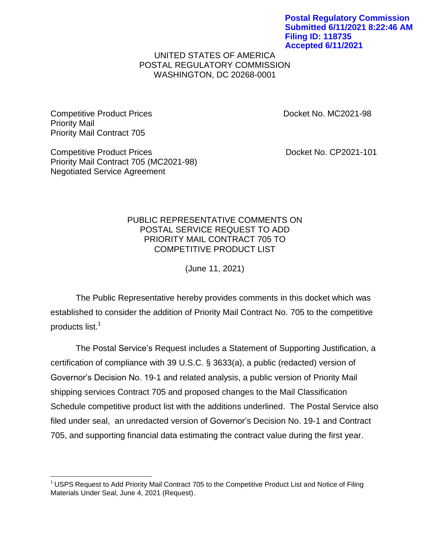**Postal Regulatory Commission Submitted 6/11/2021 8:22:46 AM Filing ID: 118735 Accepted 6/11/2021**

## UNITED STATES OF AMERICA POSTAL REGULATORY COMMISSION WASHINGTON, DC 20268-0001

Competitive Product Prices **Docket No. MC2021-98** Priority Mail Priority Mail Contract 705

Negotiated Service Agreement

 $\overline{\phantom{a}}$ 

Priority Mail Contract 705 (MC2021-98)

Competitive Product Prices **Docket No. CP2021-101** 

## PUBLIC REPRESENTATIVE COMMENTS ON POSTAL SERVICE REQUEST TO ADD PRIORITY MAIL CONTRACT 705 TO COMPETITIVE PRODUCT LIST

(June 11, 2021)

The Public Representative hereby provides comments in this docket which was established to consider the addition of Priority Mail Contract No. 705 to the competitive products list.<sup>1</sup>

The Postal Service's Request includes a Statement of Supporting Justification, a certification of compliance with 39 U.S.C. § 3633(a), a public (redacted) version of Governor's Decision No. 19-1 and related analysis, a public version of Priority Mail shipping services Contract 705 and proposed changes to the Mail Classification Schedule competitive product list with the additions underlined. The Postal Service also filed under seal, an unredacted version of Governor's Decision No. 19-1 and Contract 705, and supporting financial data estimating the contract value during the first year.

 $<sup>1</sup>$  USPS Request to Add Priority Mail Contract 705 to the Competitive Product List and Notice of Filing</sup> Materials Under Seal, June 4, 2021 (Request).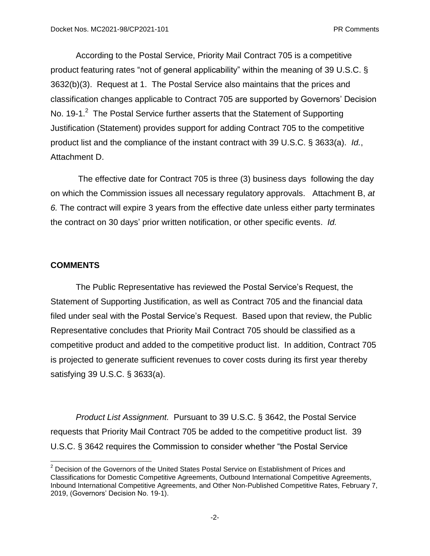According to the Postal Service, Priority Mail Contract 705 is a competitive product featuring rates "not of general applicability" within the meaning of 39 U.S.C. § 3632(b)(3). Request at 1. The Postal Service also maintains that the prices and classification changes applicable to Contract 705 are supported by Governors' Decision No. 19-1. $^2$  The Postal Service further asserts that the Statement of Supporting Justification (Statement) provides support for adding Contract 705 to the competitive product list and the compliance of the instant contract with 39 U.S.C. § 3633(a). *Id.*, Attachment D.

The effective date for Contract 705 is three (3) business days following the day on which the Commission issues all necessary regulatory approvals. Attachment B, *at 6.* The contract will expire 3 years from the effective date unless either party terminates the contract on 30 days' prior written notification, or other specific events. *Id.*

## **COMMENTS**

 $\overline{a}$ 

The Public Representative has reviewed the Postal Service's Request, the Statement of Supporting Justification, as well as Contract 705 and the financial data filed under seal with the Postal Service's Request. Based upon that review, the Public Representative concludes that Priority Mail Contract 705 should be classified as a competitive product and added to the competitive product list. In addition, Contract 705 is projected to generate sufficient revenues to cover costs during its first year thereby satisfying 39 U.S.C. § 3633(a).

*Product List Assignment.* Pursuant to 39 U.S.C. § 3642, the Postal Service requests that Priority Mail Contract 705 be added to the competitive product list. 39 U.S.C. § 3642 requires the Commission to consider whether "the Postal Service

 $2$  Decision of the Governors of the United States Postal Service on Establishment of Prices and Classifications for Domestic Competitive Agreements, Outbound International Competitive Agreements, Inbound International Competitive Agreements, and Other Non-Published Competitive Rates, February 7, 2019, (Governors' Decision No. 19-1).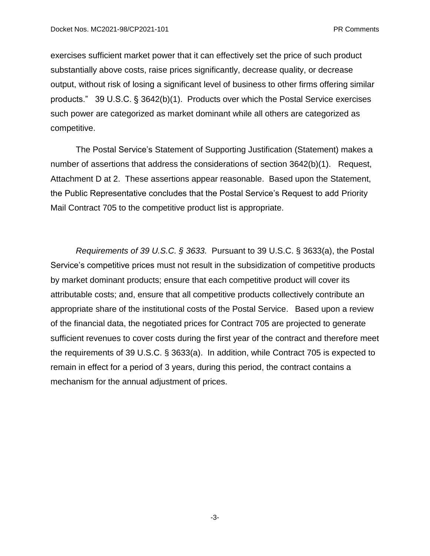exercises sufficient market power that it can effectively set the price of such product substantially above costs, raise prices significantly, decrease quality, or decrease output, without risk of losing a significant level of business to other firms offering similar products." 39 U.S.C. § 3642(b)(1). Products over which the Postal Service exercises such power are categorized as market dominant while all others are categorized as competitive.

The Postal Service's Statement of Supporting Justification (Statement) makes a number of assertions that address the considerations of section 3642(b)(1). Request, Attachment D at 2. These assertions appear reasonable. Based upon the Statement, the Public Representative concludes that the Postal Service's Request to add Priority Mail Contract 705 to the competitive product list is appropriate.

*Requirements of 39 U.S.C. § 3633.* Pursuant to 39 U.S.C. § 3633(a), the Postal Service's competitive prices must not result in the subsidization of competitive products by market dominant products; ensure that each competitive product will cover its attributable costs; and, ensure that all competitive products collectively contribute an appropriate share of the institutional costs of the Postal Service. Based upon a review of the financial data, the negotiated prices for Contract 705 are projected to generate sufficient revenues to cover costs during the first year of the contract and therefore meet the requirements of 39 U.S.C. § 3633(a). In addition, while Contract 705 is expected to remain in effect for a period of 3 years, during this period, the contract contains a mechanism for the annual adjustment of prices.

-3-